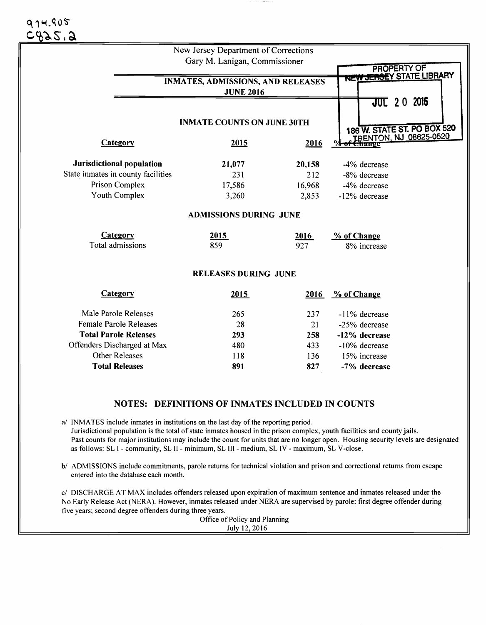|                                          | New Jersey Department of Corrections |                                                |               |                             |
|------------------------------------------|--------------------------------------|------------------------------------------------|---------------|-----------------------------|
|                                          | Gary M. Lanigan, Commissioner        |                                                |               |                             |
|                                          |                                      | <b>PROPERTY OF</b><br>NEW JERSEY STATE LIBRARY |               |                             |
| <b>INMATES, ADMISSIONS, AND RELEASES</b> |                                      |                                                |               |                             |
|                                          |                                      |                                                |               |                             |
|                                          |                                      |                                                |               | <b>JUL</b> 20 2016          |
|                                          | <b>INMATE COUNTS ON JUNE 30TH</b>    |                                                |               |                             |
|                                          |                                      |                                                |               | 186 W. STATE ST. PO BOX 520 |
| Category                                 | 2015                                 | 2016                                           |               | TRENTON, NJ 08625-0520      |
| Jurisdictional population                | 21,077                               | 20,158                                         | -4% decrease  |                             |
| State inmates in county facilities       | 231                                  | 212                                            | -8% decrease  |                             |
| Prison Complex                           | 17,586                               | 16,968                                         | -4% decrease  |                             |
| Youth Complex                            | 3,260                                | 2,853                                          | -12% decrease |                             |
|                                          | <b>ADMISSIONS DURING JUNE</b>        |                                                |               |                             |
| Category                                 | 2015                                 | 2016                                           | % of Change   |                             |
| Total admissions                         | 859                                  | 927                                            | 8% increase   |                             |
|                                          | <b>RELEASES DURING JUNE</b>          |                                                |               |                             |
| Category                                 | 2015                                 | 2016                                           | % of Change   |                             |
| Male Parole Releases                     | 265                                  | 237                                            | -11% decrease |                             |
| <b>Female Parole Releases</b>            | 28                                   | 21                                             | -25% decrease |                             |
| <b>Total Parole Releases</b>             | 293                                  | 258                                            | -12% decrease |                             |
| Offenders Discharged at Max              | 480                                  | 433                                            | -10% decrease |                             |
| <b>Other Releases</b>                    | 118                                  | 136                                            | 15% increase  |                             |
| <b>Total Releases</b>                    | 891                                  | 827                                            | -7% decrease  |                             |

## NOTES: DEFINITIONS OF INMATES INCLUDED IN COUNTS

a/ INMATES include inmates in institutions on the last day of the reporting period. Jurisdictional population is the total of state inmates housed in the prison complex, youth facilities and county jails. Past counts for major institutions may include the count for units that are no longer open. Housing security levels are designated as follows: SL I - community, SL II - minimum, SL III - medium, SL IV - maximum, SL V -close.

*bl* ADMISSIONS include commitments, parole returns for technical violation and prison and correctional returns from escape entered into the database each month.

*cl* DISCHARGE AT MAX includes offenders released upon expiration of maximum sentence and inmates released under the No Early Release Act (NERA). However, inmates released under NERA are supervised by parole: first degree offender during five years; second degree offenders during three years.

Office of Policy and Planning July 12, 2016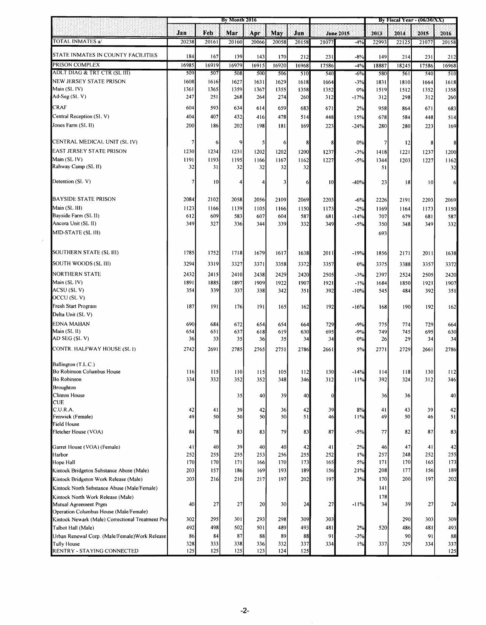|                                                                 | By Month 2016 |            |            |                 |            |           |            | By Fiscal Year - $(06/30/XX)$ |            |            |                 |            |
|-----------------------------------------------------------------|---------------|------------|------------|-----------------|------------|-----------|------------|-------------------------------|------------|------------|-----------------|------------|
|                                                                 | Jan           | Feb        | Mar        | Apr             | May        | Jua       |            | June 2015                     | 2013       | 2014       | 2015            | 2016       |
| TOTAL INMATES a/                                                | 20238         | 20161      | 20160      | 20066           | 20058      | 20158     | 21077      | $-4%$                         | 22993      | 22125      | 21077           | 20158      |
| STATE INMATES IN COUNTY FACILITIES                              | 184           | 167        | 139        | 143             | 170        | 212       | 231        | $-8%$                         | 149        | 214        | 231             | 212        |
| PRISON COMPLEX                                                  | 16985         | 16919      | 16979      | 16915           | 16920      | 16968     | 17586      | $-4%$                         | 18887      | 18245      | 17586           | 16968      |
| ADLT DIAG & TRT CTR (SL III)                                    | 509           | 507        | 508        | 500             | 506        | 510       | 540        | $-6%$                         | 580        | 561        | 540             | 510        |
| NEW JERSEY STATE PRISON                                         | 1608          | 1616       | 1627       | 1631            | 1629       | 1618      | 1664       | $-3%$                         | 1831       | 1810       | 1664            | 1618       |
| Main (SL IV)                                                    | 1361          | 1365       | 1359       | 1367            | 1355       | 1358      | 1352       | 0%                            | 1519       | 1512       | 1352            | 1358       |
| Ad-Seg (SL V)                                                   | 247           | 251        | 268        | 264             | 274        | 260       | 312        | $-17%$                        | 312        | 298        | 312             | 260        |
| <b>CRAF</b>                                                     | 604           | 593        | 634        | 614             | 659        | 683       | 671        | 2%                            | 958        | 864        | 671             | 683        |
| Central Reception (SL V)                                        | 404           | 407        | 432        | 416             | 478        | 514       | 448        | 15%                           | 678        | 584        | 448             | 514        |
| Jones Farm (SL II)                                              | 200           | 186        | 202        | 198             | 181        | 169       | 223        | $-24%$                        | 280        | 280        | 223             | 169        |
| CENTRAL MEDICAL UNIT (SL IV)                                    | 7             | 6          | 9          | $\mathfrak{c}$  | 6          | 8         | 8          | 0%                            | 7          | 12         | 8               | 8          |
| EAST JERSEY STATE PRISON                                        | 1230          | 1234       | 1231       | 1202            | 1202       | 1200      | 1237       | $-3%$                         | 1418       | 1221       | 1237            | 1200       |
| Main (SL IV)                                                    | 1191          | 1193       | 1195       | 1166            | 1167       | 1162      | 1227       | $-5%$                         | 1344       | 1203       | 1227            | 1162       |
| Rahway Camp (SL II)                                             | 32            | 31         | 32         | 32              | 32         | 32        |            |                               | 51         |            |                 | 32         |
| Detention (SLV)                                                 | 7             | 0          | 4          | $\vert 4 \vert$ | 3          | 6         | 0          | $-40%$                        | 23         | 18         | 10 <sup>1</sup> | 6          |
| <b>BAYSIDE STATE PRISON</b>                                     | 2084          | 2102       | 2058       | 2056            | 2109       | 2069      | 2203       | $-6%$                         | 2226       | 2191       | 2203            | 2069       |
| Main (SL 111)                                                   | 1123          | 1166       | 1139       | 1105            | 1166       | 1150      | 1173       | $-2%$                         | 1169       | 1164       | 1173            | 1150       |
| Bayside Farm (SL II)                                            | 612           | 609        | 583        | 607             | 604        | 587       | 681        | $-14%$                        | 707        | 679        | 681             | 587        |
| Ancora Unit (SL II)                                             | 349           | 327        | 336        | 344             | 339        | 332       | 349        | $-5%$                         | 350        | 348        | 349             | 332        |
| MID-STATE (SL III)                                              |               |            |            |                 |            |           |            |                               | 693        |            |                 |            |
| SOUTHERN STATE (SL III)                                         | 1785          | 1752       | 1718       | 1679            | 1617       | 1638      | 2011       | $-19%$                        | 1856       | 2171       | 2011            | 1638       |
| SOUTH WOODS (SL III)                                            | 3294          | 3319       | 3327       | 3371            | 3358       | 3372      | 3357       | 0%                            | 3375       | 3388       | 3357            | 3372       |
| <b>NORTHERN STATE</b>                                           | 2432          | 2415       | 2410       | 2438            | 2429       | 2420      | 2505       | $-3%$                         | 2397       | 2524       | 2505            | 2420       |
| Main (SL IV)                                                    | 1891          | 1885       | 1897       | 1909            | 1922       | 1907      | 1921       | $-1%$                         | 1684       | 1850       | 1921            | 1907       |
| ACSU (SLV)                                                      | 354           | 339        | 337        | 338             | 342        | 351       | 392        | $-10%$                        | 545        | 484        | 392             | 351        |
| OCCU (SLV)                                                      |               |            |            |                 |            |           |            |                               |            |            |                 |            |
| Fresh Start Program                                             | 187           | 191        | 176        | 191             | 165        | 162       | 192        | $-16%$                        | 168        | 190        | 192             | 162        |
| Delta Unit (SL V)                                               |               |            |            |                 |            |           |            |                               |            |            |                 |            |
| <b>EDNA MAHAN</b>                                               | 690           | 684        | 672        | 654             | 654        | 664       | 729        | $-9%$                         | 775        | 774        | 729             | 664        |
| Main (SL II)<br>AD SEG (SL V)                                   | 654<br>36     | 651<br>33  | 637<br>35  | 618             | 619<br>35  | 630<br>34 | 695<br>34  | $-9%$<br>0%                   | 749<br>26  | 745<br>29  | 695<br>34       | 630<br>34  |
| CONTR. HALFWAY HOUSE (SLI)                                      | 2742          | 2691       | 2785       | 36              |            |           | 2661       | 5%                            |            | 2729       | 2661            |            |
|                                                                 |               |            |            | 2765            | 2751       | 2786      |            |                               | 2771       |            |                 | 2786       |
| Ballington (T.L.C.)                                             |               |            |            |                 |            |           |            |                               |            |            |                 |            |
| Bo Robinson Columbus House<br>Bo Robinson                       | 116<br>334    | 115<br>332 | 110<br>352 | 115<br>352      | 105<br>348 | 346       | 130<br>312 | $-14%$<br>11%                 | 114<br>392 | 118<br>324 | 130<br>312      | 112<br>346 |
| Broughton                                                       |               |            |            |                 |            |           |            |                               |            |            |                 |            |
| Clinton House                                                   |               |            | 35         | 40              | 39         | 40        | 0          |                               | 36         | 36         |                 | 40         |
| <b>CUE</b>                                                      |               |            |            |                 |            |           |            |                               |            |            |                 |            |
| C.U.R.A.                                                        | 42            | 41         | 39         | 42              | 36         | 42        | 39         | 8%                            | 41         | 43         | 39              | 42         |
| Fenwick (Female)<br>Field House                                 | 49            | 50         | 50         | 50              | 50         | 51        | 46         | 11%                           | 49         | 50         | 46              | 51         |
| Fletcher House (VOA)                                            | 84            | 78         | 83         | 83              | 79         | 83        | 87         | $-5%$                         | 77         | 82         | 87              | 83         |
| Garret House (VOA) (Female)                                     | 41            | 40         | 39         | 40              | 40         | 42        | 41         | 2%                            | 46         | 47         | 41              | 42         |
| Harbor                                                          | 252           | 255        | 255        | 253             | 256        | 255       | 252        | $1\%$                         | 257        | 248        | 252             | 255        |
| Hope Hall                                                       | 170           | 170        | 171        | 166             | 170        | 173       | 165        | 5%                            | 171        | 170        | 165             | 173        |
| Kintock Bridgeton Substance Abuse (Male)                        | 203           | 157        | 186        | 169             | 193        | 189       | 156        | 21%                           | 208        | 177        | 156             | 189        |
| Kintock Bridgeton Work Release (Male)                           | 203           | 216        | 210        | 217             | 197        | 202       | 197        | 3%                            | 170        | 200        | 197             | 202        |
| Kintock North Substance Abuse (Male/Female)                     |               |            |            |                 |            |           |            |                               | 141        |            |                 |            |
| Kintock North Work Release (Male)                               |               |            |            |                 |            |           |            |                               | 178        |            |                 |            |
| Mutual Agreement Prgm<br>Operation Columbus House (Male/Female) | 40            | 27         | 27         | 20              | 30         | 24        | 27         | $-11%$                        | 34         | 39         | 27              | 24         |
| Kintock Newark (Male) Correctional Treatment Pro                | 302           | 295        | 301        | 293             | 298        | 309       | 303        |                               |            | 290        | 303             | 309        |
| Talbot Hall (Male)                                              | 492           | 498        | 502        | 501             | 489        | 493       | 481        | 2%                            | 520        | 486        | 481             | 493        |
| Urban Renewal Corp. (Male/Female) Work Release                  | 86            | 84         | 87         | 88              | 89         | 88        | 91         | $-3%$                         |            | 90         | 91              | 88         |
| <b>Tully House</b>                                              | 328           | 333        | 338        | 336             | 332        | 337       | 334        | 1%                            | 337        | 329        | 334             | 337        |
| RENTRY - STAYING CONNECTED                                      | 125           | 125        | 125        | 123             | 124        | 125       |            |                               |            |            |                 | 125        |

 $\ddot{\phantom{a}}$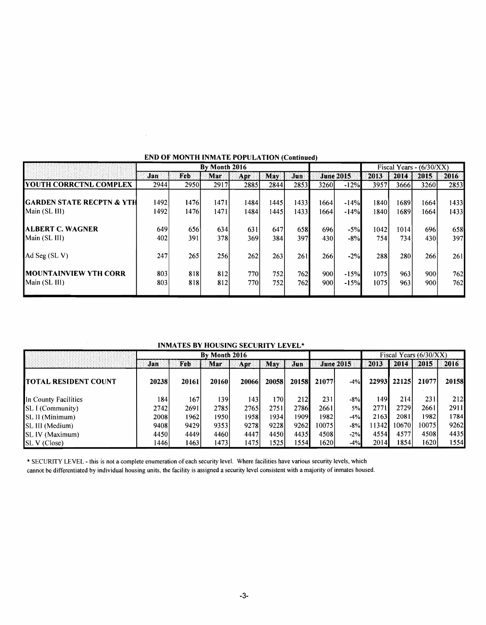|                                                | By Month 2016 |              |               |              |               |              |              | Fiscal Years - $(6/30/XX)$ |              |                |              |              |
|------------------------------------------------|---------------|--------------|---------------|--------------|---------------|--------------|--------------|----------------------------|--------------|----------------|--------------|--------------|
|                                                | Jan:          | Feb.         | Mar           | Apr          | May           | Jun          |              | <b>June 2015</b>           | 2013         | 2014           | 2015         | 2016         |
| <b>IYOUTH CORRCTNL COMPLEX</b>                 | 2944          | 2950         | 2917          | 2885         | 2844          | 2853         | 3260l        | $-12%$                     | 3957         | 3666I          | 3260         | 2853         |
| IGARDEN STATE RECPTN & YTH<br>Main (SL III)    | 1492<br>1492  | 1476<br>1476 | 1471<br>14711 | 1484<br>1484 | 1445<br>14451 | 1433<br>1433 | 1664<br>1664 | $-14%$<br>$-14%$           | 1840<br>1840 | 16891<br>16891 | 1664<br>1664 | 1433<br>1433 |
| <b>ALBERT C. WAGNER</b><br>Main (SL III)       | 649<br>402    | 656<br>391   | 634<br>378    | 631<br>369   | 647<br>384    | 658l<br>397  | 696<br>430   | $-5%$<br>$-8%$             | 1042<br>754  | 1014<br>734    | 696l<br>430  | 658<br>397   |
| Ad Seg $(SL V)$                                | 247           | 265          | 256           | 262          | 263           | 261          | 266          | $-2%$                      | 288          | 280            | 266          | 261          |
| <b>IMOUNTAINVIEW YTH CORR</b><br>Main (SL III) | 803<br>803    | 818<br>818   | 812<br>812    | 770<br>770I  | 752<br>7521   | 762<br>762   | 900<br>900l  | $-15%$<br>$-15%$           | 1075<br>1075 | 963<br>963     | 900<br>900   | 762<br>762   |

## END OF MONTH INMATE POPULATION (Continued)

 $\mathcal{A}^{\pm}$ 

 $\mathcal{A}^{\pm}$ 

## INMATES BY HOUSING SECURITY LEVEL\*

|                              | By Month 2016 |       |       |       |       |       |        | Fiscal Years $(6/30/XX)$ |        |                |       |       |
|------------------------------|---------------|-------|-------|-------|-------|-------|--------|--------------------------|--------|----------------|-------|-------|
|                              | Jan           | Feb   | Mar   | Apr   | May   | Jun   |        | <b>June 2015</b>         |        | 2013 2014 2015 |       | 2016  |
| <b>ITOTAL RESIDENT COUNT</b> | 20238         | 20161 | 20160 | 20066 | 20058 | 20158 | 210771 | $-4%$                    | 229931 | 22125          | 21077 | 20158 |
| In County Facilities         | 184           | 167   | 1391  | 143   | 1701  | 2121  | 2311   | $-8%$                    | 149    | 214            | 231   | 212   |
| <b>SL I</b> (Community)      | 2742          | 2691  | 2785  | 2765  | 2751  | 2786  | 2661   | 5%                       | 2771   | 2729           | 2661  | 2911  |
| <b>SL II</b> (Minimum)       | 2008          | 19621 | 1950l | 1958  | 1934  | 1909  | 19821  | $-4%$                    | 2163   | 2081           | 1982  | 1784  |
| <b>ISL III</b> (Medium)      | 9408          | 94291 | 9353  | 9278  | 9228  | 9262  | 10075  | $-8%$                    | 11342  | 106701         | 10075 | 9262  |
| <b>SL IV</b> (Maximum)       | 4450          | 4449  | 44601 | 4447  | 4450  | 44351 | 4508   | $-2%$                    | 4554   | 4577           | 4508  | 4435  |
| SL V (Close)                 | 1446          | 1463  | 1473  | 1475  | 1525  | 1554  | 16201  | $-4%$                    | 2014   | 1854           | 16201 | 1554  |

\* SECURITY LEVEL - this is not a complete enumeration of each security leveL Where facilities have various security levels, which cannot be differentiated by individual housing units, the facility is assigned a security level consistent with a majority of inmates housed.